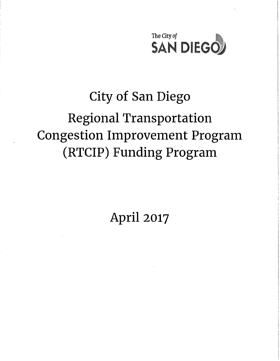

# City of San Diego Regional Transportation Congestion Improvement Program (RTCIP) Funding Program

April 2017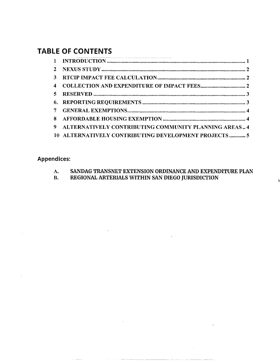# **TABLE OF CONTENTS**

| $\mathbf{3}$ |                                                      |  |
|--------------|------------------------------------------------------|--|
| 4            |                                                      |  |
|              |                                                      |  |
|              |                                                      |  |
| $\tau$       |                                                      |  |
|              |                                                      |  |
| -9           | ALTERNATIVELY CONTRIBUTING COMMUNITY PLANNING AREAS4 |  |
|              | 10 ALTERNATIVELY CONTRIBUTING DEVELOPMENT PROJECTS 5 |  |

# Appendices:

| SANDAG TRANSNET EXTENSION ORDINANCE AND EXPENDITURE PLAN |
|----------------------------------------------------------|
| REGIONAL ARTERIALS WITHIN SAN DIEGO JURISDICTION         |

- - ---- -------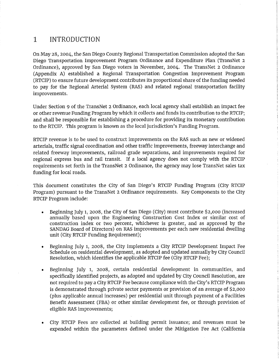# 1 INTRODUCTION

On May 28, 2004, the San Diego County Regional Transportation Commission adopted the San Diego Transportation Improvement Program Ordinance and Expenditure Plan (TransNet 2 Ordinance), approved by San Diego voters in November, 2004. The TransNet 2 Ordinance (Appendix A) established a Regional Transportation Congestion Improvement Program (RTCIP) to ensure future development contributes its proportional share of the funding needed to pay for the Regional Arterial System (RAS) and related regional transportation facility improvements.

Under Section 9 of the TransNet 2 Ordinance, each local agency shall establish an impact fee or other revenue Funding Program by which it collects and funds its contribution to the RTCIP; and shall be responsible for establishing a procedure for providing its monetary contribution to the RTCIP. This program is known as the local jurisdiction's Funding Program.

RTCIP revenue is to be used to construct improvements on the RAS such as new or widened arterials, traffic signal coordination and other traffic improvements, freeway interchange and related freeway improvements, railroad grade separations, and improvements required for regional express bus and rail transit. If a local agency does not comply with the RTCIP requirements set forth in the TransNet 2 Ordinance, the agency may lose TransNet sales tax funding for local roads.

This document constitutes the City of San Diego's RTCIP Funding Program (City RTCIP Program) pursuant to the TransNet 2 Ordinance requirements. Key Components to the City RTCIP Program include:

- Beginning July 1, 2008, the City of San Diego (City) must contribute \$2,000 (increased annually based upon the Engineering Construction Cost Index or similar cost of construction index or two percent, whichever is greater, and as approved by the SANDAG Board of Directors) on RAS improvements per each new residential dwelling unit (City RTCIP Funding Requirement);
- Beginning July 1, 2008, the City implements a City RTCIP Development Impact Fee Schedule on residential development, as adopted and updated annually by City Council Resolution, which identifies the applicable RTCIP fee (City RTCIP Fee);
- Beginning July 1, 2008, certain residential development in communities, and specifically identified projects, as adopted and updated by City Council Resolution, are not required to pay a City RTCIP Fee because compliance with the City's RTCIP Program is demonstrated through private sector payments or provision of an average of \$2,000 (plus applicable annual increases) per residential unit through payment of a Facilities Benefit Assessment (FBA) or other similar development fee, or through provision of eligible RAS improvements;
- City RTCIP Fees are collected at building permit issuance; and revenues must be expended within the parameters defined under the Mitigation Fee Act (California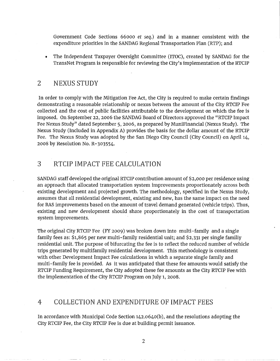Government Code Sections 66000 *et* seq.) and in a manner consistent with the expenditure priorities in the SANDAG Regional Transportation Plan (RTP); and

• The Independent Taxpayer Oversight Committee (ITOC), created by SANDAG for the TransNet Program is responsible for reviewing the City's implementation of the RTCIP

# 2 NEXUS STUDY

In order to comply with the Mitigation Fee Act, the City is required to make certain findings demonstrating a reasonable relationship or nexus between the amount of the City RTCIP Fee collected and the cost of public facilities attributable to the development on which the fee is imposed. On September 22, 2006 the SANDAG Board of Directors approved the "RTCIP Impact Fee Nexus Study" dated September 5, 2006, as prepared by MuniFinancial (Nexus Study). The Nexus Study (Included in Appendix A) provides the basis for the dollar amount of the RTCIP Fee. The Nexus Study was adopted by the San Diego City Council (City Council) on April 14, 2008 by Resolution No. R-303554.

## 3 RTCIP IMPACT FEE CALCULATION

SANDAG staff developed the original RTCIP contribution amount of \$2,000 per residence using an approach that allocated transportation system improvements proportionately across both existing development and projected growth. The methodology, specified in the Nexus Study, assumes that all residential development, existing and new, has the same impact on the need for RAS improvements based on the amount of travel demand generated (vehicle trips). Thus, existing and new development should share proportionately in the cost of transportation system improvements.

The original City RTCIP Fee (FY 2009) was broken down into multi-family and a single family fees as: \$1,865 per new multi-family residential unit; and \$2,331 per single familiy residential unit. The purpose of bifurcating the fee is to reflect the reduced number of vehicle trips generated by multifamily residential development. This methodology is consistent with other Development Impact Fee calculations in which a separate single family and multi-family fee is provided. As it was anticipated that these fee amounts would satisfy the RTCIP Funding Requirement, the City adopted these fee amounts as the City RTCIP Fee with the implementation of the City RTCIP Program on July 1, 2008.

## 4 COLLECTION AND EXPENDITURE OF IMPACT FEES

In accordance with Municipal Code Section 142.064o(b), and the resolutions adopting the City RTCIP Fee, the City RTCIP Fee is due at building permit issuance.

2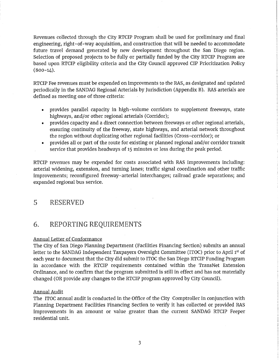Revenues collected through the City RTCIP Program shall be used for preliminary and final engineering, right-of-way acquisition, and construction that will be needed to accommodate future travel demand generated by new development throughout the San Diego region. Selection of proposed projects to be fully or partially funded by the City RTCIP Program are based upon RTCIP eligibility criteria and the City Council approved CIP Prioritization Policy  $(800-14)$ .

RTCIP Fee revenues must be expended on improvments to the RAS, as designated and updated periodically in the SANDAG Regional Arterials by Jurisdiction (Appendix B). RAS arterials are defined as meeting one of three criteria:

- provides parallel capacity in high-volume corridors to supplement freeways, state highways, and/or other regional arterials (Corridor);
- provides capacity and a direct connection between freeways or other regional arterials, ensuring continuity of the freeway, state highways, and arterial network throughout the region without duplicating other regional facilities (Cross-corridor); or
- provides all or part of the route for existing or planned regional and/or corridor transit service that provides headways of 15 minutes or less during the peak period.

RTCIP revenues may be expended for costs associated with RAS improvements including: arterial widening, extension, and turning lanes; traffic signal coordination and other traffic improvements; reconfigured freeway-arterial interchanges; railroad grade separations; and expanded regional bus service.

# 5 RESERVED

# 6. REPORTING REQUIREMENTS

#### Annual Letter of Conformance

The City of San Diego Planning Department (Facilities Financing Section) submits an annual letter to the SANDAG Independent Taxpayers Oversight Committee (ITOC) prior to April 1<sup>st</sup> of each year to document that the City did submit to ITOC the San Diego RTCIP Funding Program in accordance with the RTCIP requirements contained within the TransNet Extension Ordinance, and to confirm that the program submitted is still in effect and has not materially changed (OR provide any changes to the RTCIP program approved by City Council).

#### Annual Audit

The ITOC annual audit is conducted in the Office of the City Comptroller in conjunction with Planning Department Facilities Financing Section to verify it has collected or provided RAS improvements in an amount or value greater than the current SANDAG RTCIP Peeper residential unit.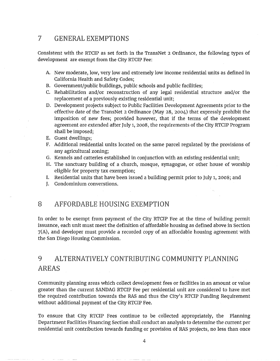## 7 GENERAL EXEMPTIONS

Consistent with the RTCIP as set forth in the TransNet 2 Ordinance, the following types of development are exempt from the City RTCIP Fee:

- A New moderate, low, very low and extremely low income residential units as defined in California Health and Safety Codes;
- B. Government/public buildings, public schools and public facilities;
- C. Rehabilitation and/or reconstruction of any legal residential structure and/or the replacement of a previously existing residential unit;
- D. Development projects subject to Public Facilities Development Agreements prior to the effective date of the TransNet 2 Ordinance (May 28, 2004) that expressly prohibit the imposition of new fees; provided however, that if the terms of the development agreement are extended after July 1, 2008, the requirements of the City RTCIP Program shall be imposed;
- E. Guest dwellings;
- F. Additional residential units located on the same parcel regulated by the provisions of any agricultural zoning;
- G. Kennels and catteries established in conjunction with an existing residential unit;
- H. The sanctuary building of a church, mosque, synagogue, or other house of worship eligible for property tax exemption;
- I. Residential units that have been issued a building permit prior to July 1, 2008; and
- J. Condominium converstions.

## 8 AFFORDABLE HOUSING EXEMPTION

In order to be exempt from payment of the City RTCIP Fee at the time of building permit issuance, each unit must meet the definition of affordable housing as defined above in Section 7(A), and developer must provide a recorded copy of an affordable housing agreement with the San Diego Housing Commission.

# 9 ALTERNATIVELY CONTRIBUTING COMMUNITY PLANNING AREAS

Community planning areas which collect development fees or facilities in an amount or value greater than the current SANDAG RTCIP Fee per residential unit are considered to have met the required contribution towards the RAS and thus the City's RTCIP Funding Requirement without additional payment of the City RTCIP Fee.

To ensure that City RTCIP Fees continue to be collected appropriately, the Planning Department Facilities Financing Section shall conduct an analysis to determine the current per residential unit contribution towards funding or provision of RAS projects, no less than once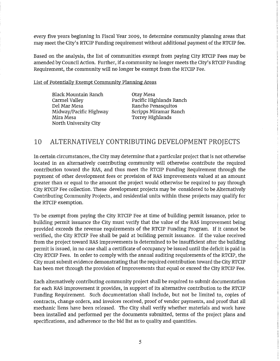every five years beginning in Fiscal Year 2009, to determine community planning areas that may meet the City's RTCIP Funding requirement without additional payment of the RTCIP fee.

Based on the analysis, the list of communities exempt from paying City RTCIP Fees may be amended by Council Action. Further, if a community no longer meets the City's RTCIP Funding Requirement, the community will no longer be exempt from the RTCIP Fee.

List of Potentially Exempt Community Planning Areas

Black Mountain Ranch Carmel Valley Del Mar Mesa Midway/Pacific Highway Mira Mesa North University City

Otay Mesa Pacific Highlands Ranch Rancho Penasquitos Scripps Miramar Ranch Torrey Highlands

# 10 ALTERNATIVELY CONTRIBUTING DEVELOPMENT PROJECTS

In certain circumstances, the City may determine that a particular project that is not otherwise located in an alternatively contributing community will otherwise contribute the required contribution toward the RAS, and thus meet the RTCIP Funding Requirement through the payment of other development fees or provision of RAS improvements valued at an amount greater than or equal to the amount the project would otherwise be required to pay through City RTCIP Fee collection. These development projects may be considered to be Alternatively Contributing Community Projects, and residential units within these projects may qualify for the RTCIP exemption.

To be exempt from paying the City RTCIP Fee at time of building permit issuance, prior to building permit issuance the City must verify that the value of the RAS improvement being provided exceeds the revenue requirements of the RTCIP Funding Program. If it cannot be verified, the City RTCIP Fee shall be paid at building permit issuance. If the value received from the project toward RAS improvements is determined to be insufficient after the building permit is issued, in no case shall a certificate of occupancy be issued until the deficit is paid in City RTCIP Fees. In order to comply with the annual auditing requirements of the RTCIP, the City must submit evidence demonstrating that the required contribution toward the City RTCIP has been met through the provision of improvements that equal or exceed the City RTCIP Fee.

Each alternatively contributing community project shall be required to submit documentation for each RAS improvement it provides, in support of its alternative contribution to the RTCIP Funding Requirement. Such documentation shall include, but not be limited to, copies of contracts, change orders, and invoices received, proof of vendor payments, and proof that all mechanic liens have been released. The City shall verify whether materials and work have been installed and performed per the documents submitted, terms of the project plans and specifications, and adherence to the bid list as to quality and quantities.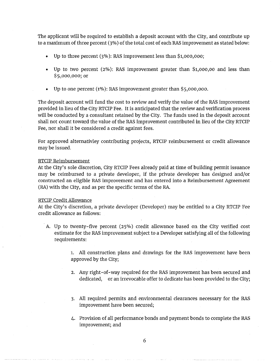The applicant will be required to establish a deposit account with the City, and contribute up to a maximum of three percent (3%) of the total cost of each RAS improvement as stated below:

- Up to three percent (3%): RAS improvement less than \$1,000,000;
- Up to two percent (2%): RAS improvement greater than \$1,000,00 and less than \$5,000,000; or
- Up to one percent (1%): RAS improvement greater than \$5,000,000.

The deposit account will fund the cost to review and verify the value of the RAS improvement provided in lieu of the City RTCIP Fee. It is anticipated that the review and verification process will be conducted by a consultant retained by the City. The funds used in the deposit account shall not count toward the value of the RAS improvement contributed in lieu of the City RTCIP Fee, nor shall it be considered a credit against fees.

For approved alternativley contributing projects, RTCIP reimbursement or credit allowance may be issued.

#### RTCIP Reimbursement

At the City's sole discretion, City RTCIP Fees already paid at time of building permit issuance may be reimbursed to a private developer, if the private developer has designed and/or constructed an eligible RAS improvement and has entered into a Reimbursement Agreement (RA) with the City, and as per the specific terms of the RA.

#### RTCIP Credit Allowance

At the City's discretion, a private developer (Developer) may be entitled to a City RTCIP Fee credit allowance as follows:

A. Up to twenty-five percent (25%) credit allowance based on the City verified cost estimate for the RAS improvement subject to a Developer satisfying all of the following requirements:

> 1. All construction plans and drawings for the RAS improvement have been approved by the City;

- 2. Any right-of-way required for the RAS improvement has been secured and dedicated, or an irrevocable offer to dedicate has been provided to the City;
- 3. All required permits and environmental clearances necessary for the RAS improvement have been secured;
- 4. Provision of all performance bonds and payment bonds to complete the RAS improvement; and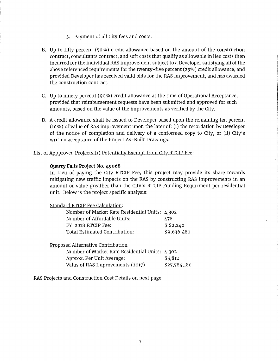- 5, Payment of all City fees and costs.
- B. Up to fifty percent (50%) credit allowance based on the amount of the construction contract, consultants contract, and soft costs that qualify as allowable in lieu costs then incurred for the individual RAS improvement subject to a Developer satisfying all of the above referenced requirements for the twenty-five percent (25%) credit allowance, and provided Developer has received valid bids for the RAS improvement, and has awarded the construction contract.
- C. Up to ninety percent ( 90%) credit allowance at the time of Operational Acceptance, provided that reimbursement requests have been submitted and approved for such amounts, based on the value of the improvements as verified by the City.
- D. A credit allowance shall be issued to Developer based upon the remaining ten percent (10%) of value of RAS improvement upon the later of: (i) the recordation by Developer of the notice of completion and delivery of a conformed copy to City, or (ii) City's written acceptance of the Project As- Built Drawings.

#### List of Appproved Projects (1) Potentially Exempt from City RTCIP Fee:

#### **Quarry Falls Project No. 49068**

In Lieu of paying the City RTCIP Fee, this project may provide its share towards mitigating new traffic impacts on the RAS by constructing RAS improvements in an amount or value greather than the City's RTCIP Funding Requirment per residential unit. Below is the project specific analysis:

| Standard RTCIP Fee Calculation:                |             |
|------------------------------------------------|-------------|
| Number of Market Rate Residential Units: 4,302 |             |
| Number of Affordable Units:                    | 478         |
| FY 2018 RTCIP Fee:                             | \$2,240     |
| Total Estimated Contribution:                  | \$9,636,480 |
|                                                |             |

#### Proposed Alternative Contribution

| Number of Market Rate Residential Units: 4,302 |              |
|------------------------------------------------|--------------|
| Approx. Per Unit Average:                      | \$5,812      |
| Valus of RAS Improvements (2017)               | \$27,784,180 |

RAS Projects and Construction Cost Details on next page.